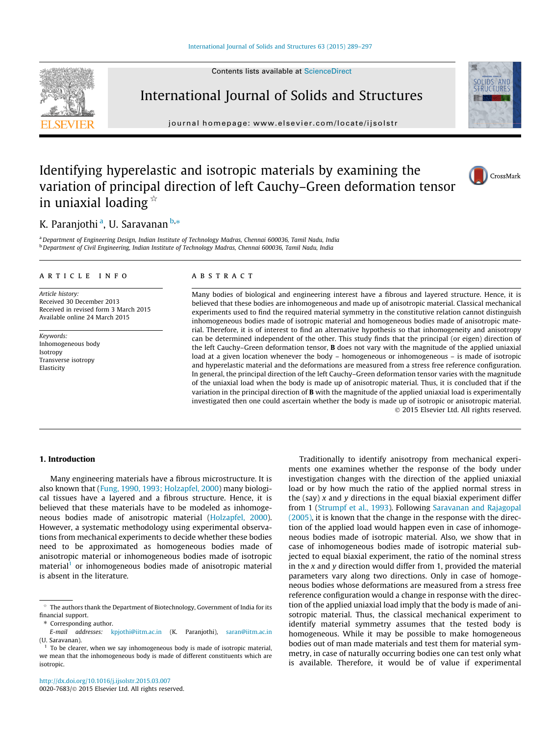Contents lists available at [ScienceDirect](http://www.sciencedirect.com/science/journal/00207683)





## International Journal of Solids and Structures

journal homepage: [www.elsevier.com/locate/ijsolstr](http://www.elsevier.com/locate/ijsolstr)

## Identifying hyperelastic and isotropic materials by examining the variation of principal direction of left Cauchy–Green deformation tensor in uniaxial loading  $\overline{a}$

# CrossMark

### K. Paranjothi <sup>a</sup>, U. Saravanan <sup>b,</sup>\*

a Department of Engineering Design, Indian Institute of Technology Madras, Chennai 600036, Tamil Nadu, India <sup>b</sup> Department of Civil Engineering, Indian Institute of Technology Madras, Chennai 600036, Tamil Nadu, India

#### article info

Article history: Received 30 December 2013 Received in revised form 3 March 2015 Available online 24 March 2015

Keywords: Inhomogeneous body Isotropy Transverse isotropy Elasticity

#### **ABSTRACT**

Many bodies of biological and engineering interest have a fibrous and layered structure. Hence, it is believed that these bodies are inhomogeneous and made up of anisotropic material. Classical mechanical experiments used to find the required material symmetry in the constitutive relation cannot distinguish inhomogeneous bodies made of isotropic material and homogeneous bodies made of anisotropic material. Therefore, it is of interest to find an alternative hypothesis so that inhomogeneity and anisotropy can be determined independent of the other. This study finds that the principal (or eigen) direction of the left Cauchy–Green deformation tensor, B does not vary with the magnitude of the applied uniaxial load at a given location whenever the body – homogeneous or inhomogeneous – is made of isotropic and hyperelastic material and the deformations are measured from a stress free reference configuration. In general, the principal direction of the left Cauchy–Green deformation tensor varies with the magnitude of the uniaxial load when the body is made up of anisotropic material. Thus, it is concluded that if the variation in the principal direction of B with the magnitude of the applied uniaxial load is experimentally investigated then one could ascertain whether the body is made up of isotropic or anisotropic material. - 2015 Elsevier Ltd. All rights reserved.

#### 1. Introduction

Many engineering materials have a fibrous microstructure. It is also known that [\(Fung, 1990, 1993; Holzapfel, 2000](#page-8-0)) many biological tissues have a layered and a fibrous structure. Hence, it is believed that these materials have to be modeled as inhomogeneous bodies made of anisotropic material ([Holzapfel, 2000\)](#page-8-0). However, a systematic methodology using experimental observations from mechanical experiments to decide whether these bodies need to be approximated as homogeneous bodies made of anisotropic material or inhomogeneous bodies made of isotropic material<sup>1</sup> or inhomogeneous bodies made of anisotropic material is absent in the literature.

Traditionally to identify anisotropy from mechanical experiments one examines whether the response of the body under investigation changes with the direction of the applied uniaxial load or by how much the ratio of the applied normal stress in the (say)  $x$  and  $y$  directions in the equal biaxial experiment differ from 1 [\(Strumpf et al., 1993\)](#page-8-0). Following [Saravanan and Rajagopal](#page-8-0) [\(2005\)](#page-8-0), it is known that the change in the response with the direction of the applied load would happen even in case of inhomogeneous bodies made of isotropic material. Also, we show that in case of inhomogeneous bodies made of isotropic material subjected to equal biaxial experiment, the ratio of the nominal stress in the  $x$  and  $y$  direction would differ from 1, provided the material parameters vary along two directions. Only in case of homogeneous bodies whose deformations are measured from a stress free reference configuration would a change in response with the direction of the applied uniaxial load imply that the body is made of anisotropic material. Thus, the classical mechanical experiment to identify material symmetry assumes that the tested body is homogeneous. While it may be possible to make homogeneous bodies out of man made materials and test them for material symmetry, in case of naturally occurring bodies one can test only what is available. Therefore, it would be of value if experimental

 $*$  The authors thank the Department of Biotechnology, Government of India for its financial support.

<sup>⇑</sup> Corresponding author.

E-mail addresses: [kpjothi@iitm.ac.in](mailto:kpjothi@iitm.ac.in) (K. Paranjothi), [saran@iitm.ac.in](mailto:saran@iitm.ac.in) (U. Saravanan).

<sup>1</sup> To be clearer, when we say inhomogeneous body is made of isotropic material, we mean that the inhomogeneous body is made of different constituents which are isotropic.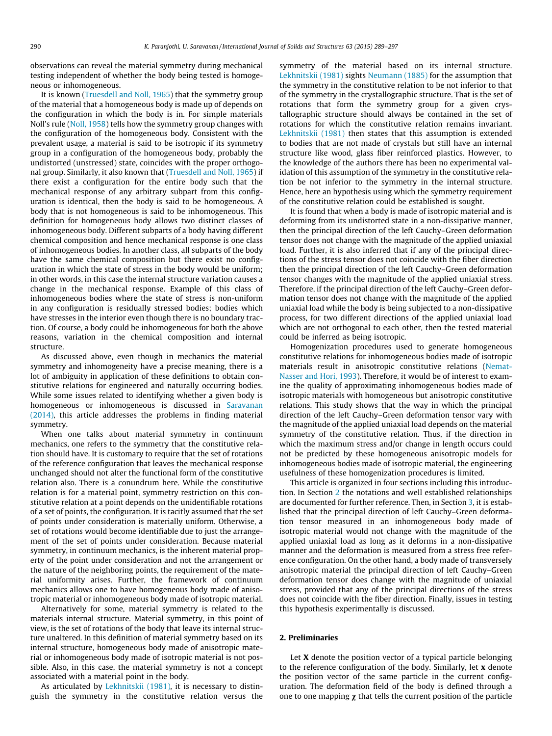observations can reveal the material symmetry during mechanical testing independent of whether the body being tested is homogeneous or inhomogeneous.

It is known ([Truesdell and Noll, 1965\)](#page-8-0) that the symmetry group of the material that a homogeneous body is made up of depends on the configuration in which the body is in. For simple materials Noll's rule ([Noll, 1958](#page-8-0)) tells how the symmetry group changes with the configuration of the homogeneous body. Consistent with the prevalent usage, a material is said to be isotropic if its symmetry group in a configuration of the homogeneous body, probably the undistorted (unstressed) state, coincides with the proper orthogonal group. Similarly, it also known that [\(Truesdell and Noll, 1965\)](#page-8-0) if there exist a configuration for the entire body such that the mechanical response of any arbitrary subpart from this configuration is identical, then the body is said to be homogeneous. A body that is not homogeneous is said to be inhomogeneous. This definition for homogeneous body allows two distinct classes of inhomogeneous body. Different subparts of a body having different chemical composition and hence mechanical response is one class of inhomogeneous bodies. In another class, all subparts of the body have the same chemical composition but there exist no configuration in which the state of stress in the body would be uniform; in other words, in this case the internal structure variation causes a change in the mechanical response. Example of this class of inhomogeneous bodies where the state of stress is non-uniform in any configuration is residually stressed bodies; bodies which have stresses in the interior even though there is no boundary traction. Of course, a body could be inhomogeneous for both the above reasons, variation in the chemical composition and internal structure.

As discussed above, even though in mechanics the material symmetry and inhomogeneity have a precise meaning, there is a lot of ambiguity in application of these definitions to obtain constitutive relations for engineered and naturally occurring bodies. While some issues related to identifying whether a given body is homogeneous or inhomogeneous is discussed in [Saravanan](#page-8-0) [\(2014\),](#page-8-0) this article addresses the problems in finding material symmetry.

When one talks about material symmetry in continuum mechanics, one refers to the symmetry that the constitutive relation should have. It is customary to require that the set of rotations of the reference configuration that leaves the mechanical response unchanged should not alter the functional form of the constitutive relation also. There is a conundrum here. While the constitutive relation is for a material point, symmetry restriction on this constitutive relation at a point depends on the unidentifiable rotations of a set of points, the configuration. It is tacitly assumed that the set of points under consideration is materially uniform. Otherwise, a set of rotations would become identifiable due to just the arrangement of the set of points under consideration. Because material symmetry, in continuum mechanics, is the inherent material property of the point under consideration and not the arrangement or the nature of the neighboring points, the requirement of the material uniformity arises. Further, the framework of continuum mechanics allows one to have homogeneous body made of anisotropic material or inhomogeneous body made of isotropic material.

Alternatively for some, material symmetry is related to the materials internal structure. Material symmetry, in this point of view, is the set of rotations of the body that leave its internal structure unaltered. In this definition of material symmetry based on its internal structure, homogeneous body made of anisotropic material or inhomogeneous body made of isotropic material is not possible. Also, in this case, the material symmetry is not a concept associated with a material point in the body.

As articulated by [Lekhnitskii \(1981\),](#page-8-0) it is necessary to distinguish the symmetry in the constitutive relation versus the symmetry of the material based on its internal structure. [Lekhnitskii \(1981\)](#page-8-0) sights [Neumann \(1885\)](#page-8-0) for the assumption that the symmetry in the constitutive relation to be not inferior to that of the symmetry in the crystallographic structure. That is the set of rotations that form the symmetry group for a given crystallographic structure should always be contained in the set of rotations for which the constitutive relation remains invariant. [Lekhnitskii \(1981\)](#page-8-0) then states that this assumption is extended to bodies that are not made of crystals but still have an internal structure like wood, glass fiber reinforced plastics. However, to the knowledge of the authors there has been no experimental validation of this assumption of the symmetry in the constitutive relation be not inferior to the symmetry in the internal structure. Hence, here an hypothesis using which the symmetry requirement of the constitutive relation could be established is sought.

It is found that when a body is made of isotropic material and is deforming from its undistorted state in a non-dissipative manner, then the principal direction of the left Cauchy–Green deformation tensor does not change with the magnitude of the applied uniaxial load. Further, it is also inferred that if any of the principal directions of the stress tensor does not coincide with the fiber direction then the principal direction of the left Cauchy–Green deformation tensor changes with the magnitude of the applied uniaxial stress. Therefore, if the principal direction of the left Cauchy–Green deformation tensor does not change with the magnitude of the applied uniaxial load while the body is being subjected to a non-dissipative process, for two different directions of the applied uniaxial load which are not orthogonal to each other, then the tested material could be inferred as being isotropic.

Homogenization procedures used to generate homogeneous constitutive relations for inhomogeneous bodies made of isotropic materials result in anisotropic constitutive relations [\(Nemat-](#page-8-0)[Nasser and Hori, 1993](#page-8-0)). Therefore, it would be of interest to examine the quality of approximating inhomogeneous bodies made of isotropic materials with homogeneous but anisotropic constitutive relations. This study shows that the way in which the principal direction of the left Cauchy–Green deformation tensor vary with the magnitude of the applied uniaxial load depends on the material symmetry of the constitutive relation. Thus, if the direction in which the maximum stress and/or change in length occurs could not be predicted by these homogeneous anisotropic models for inhomogeneous bodies made of isotropic material, the engineering usefulness of these homogenization procedures is limited.

This article is organized in four sections including this introduction. In Section 2 the notations and well established relationships are documented for further reference. Then, in Section [3](#page-2-0), it is established that the principal direction of left Cauchy–Green deformation tensor measured in an inhomogeneous body made of isotropic material would not change with the magnitude of the applied uniaxial load as long as it deforms in a non-dissipative manner and the deformation is measured from a stress free reference configuration. On the other hand, a body made of transversely anisotropic material the principal direction of left Cauchy–Green deformation tensor does change with the magnitude of uniaxial stress, provided that any of the principal directions of the stress does not coincide with the fiber direction. Finally, issues in testing this hypothesis experimentally is discussed.

#### 2. Preliminaries

Let X denote the position vector of a typical particle belonging to the reference configuration of the body. Similarly, let x denote the position vector of the same particle in the current configuration. The deformation field of the body is defined through a one to one mapping  $\chi$  that tells the current position of the particle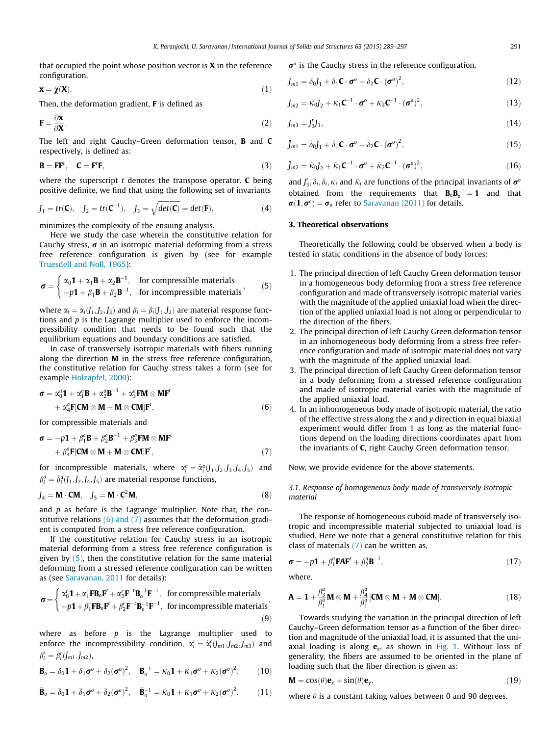<span id="page-2-0"></span>that occupied the point whose position vector is  $X$  in the reference configuration,

$$
\mathbf{x} = \mathbf{\chi}(\mathbf{X}).\tag{1}
$$

Then, the deformation gradient, F is defined as

$$
\mathbf{F} = \frac{\partial \mathbf{x}}{\partial \mathbf{X}}.\tag{2}
$$

The left and right Cauchy–Green deformation tensor, B and C respectively, is defined as:

$$
\mathbf{B} = \mathbf{F}\mathbf{F}^t, \quad \mathbf{C} = \mathbf{F}^t\mathbf{F},\tag{3}
$$

where the superscript  $t$  denotes the transpose operator.  $C$  being positive definite, we find that using the following set of invariants

$$
J_1 = tr(C), \quad J_2 = tr(C^{-1}), \quad J_3 = \sqrt{det(C)} = det(F),
$$
 (4)

minimizes the complexity of the ensuing analysis.

Here we study the case wherein the constitutive relation for Cauchy stress,  $\sigma$  in an isotropic material deforming from a stress free reference configuration is given by (see for example [Truesdell and Noll, 1965\)](#page-8-0):

$$
\boldsymbol{\sigma} = \begin{cases} \alpha_0 \mathbf{1} + \alpha_1 \mathbf{B} + \alpha_2 \mathbf{B}^{-1}, & \text{for compressible materials} \\ -p\mathbf{1} + \beta_1 \mathbf{B} + \beta_2 \mathbf{B}^{-1}, & \text{for incompressible materials} \end{cases}
$$
(5)

where  $\alpha_i = \hat{\alpha}_i (J_1, J_2, J_3)$  and  $\beta_i = \hat{\beta}_i (J_1, J_2)$  are material response functions and  $p$  is the Lagrange multiplier used to enforce the incompressibility condition that needs to be found such that the equilibrium equations and boundary conditions are satisfied.

In case of transversely isotropic materials with fibers running along the direction M in the stress free reference configuration, the constitutive relation for Cauchy stress takes a form (see for example [Holzapfel, 2000](#page-8-0)):

$$
\sigma = \alpha_0^a \mathbf{1} + \alpha_1^a \mathbf{B} + \alpha_2^a \mathbf{B}^{-1} + \alpha_3^a \mathbf{F} \mathbf{M} \otimes \mathbf{M} \mathbf{F}^t + \alpha_4^a \mathbf{F}[\mathbf{C} \mathbf{M} \otimes \mathbf{M} + \mathbf{M} \otimes \mathbf{C} \mathbf{M}] \mathbf{F}^t,
$$
 (6)

for compressible materials and

$$
\sigma = -p\mathbf{1} + \beta_1^a \mathbf{B} + \beta_2^a \mathbf{B}^{-1} + \beta_3^a \mathbf{F} \mathbf{M} \otimes \mathbf{M} \mathbf{F}^t + \beta_4^a \mathbf{F}[\mathbf{C} \mathbf{M} \otimes \mathbf{M} + \mathbf{M} \otimes \mathbf{C} \mathbf{M}] \mathbf{F}^t,
$$
 (7)

for incompressible materials, where  $\alpha_i^a = \hat{\alpha}_i^a (J_1, J_2, J_3, J_4, J_5)$  and  $\beta^a_i = \hat{\beta}^a_i ({\mathsf J}_1, {\mathsf J}_2, {\mathsf J}_4, {\mathsf J}_5)$  are material response functions,

$$
J_4 = \mathbf{M} \cdot \mathbf{CM}, \quad J_5 = \mathbf{M} \cdot \mathbf{C}^2 \mathbf{M}, \tag{8}
$$

and  $p$  as before is the Lagrange multiplier. Note that, the constitutive relations  $(6)$  and  $(7)$  assumes that the deformation gradient is computed from a stress free reference configuration.

If the constitutive relation for Cauchy stress in an isotropic material deforming from a stress free reference configuration is given by  $(5)$ , then the constitutive relation for the same material deforming from a stressed reference configuration can be written as (see [Saravanan, 2011](#page-8-0) for details):

$$
\boldsymbol{\sigma} = \begin{cases} \alpha_0^r \mathbf{1} + \alpha_1^r \mathbf{F} \mathbf{B}_o \mathbf{F}^t + \alpha_2^r \mathbf{F}^{-t} \mathbf{B}_o^{-1} \mathbf{F}^{-1}, & \text{for compressible materials} \\ -p \mathbf{1} + \beta_1^r \mathbf{F} \mathbf{B}_o \mathbf{F}^t + \beta_2^r \mathbf{F}^{-t} \mathbf{B}_o^{-1} \mathbf{F}^{-1}, & \text{for incompressible materials} \end{cases}
$$
\n(9)

where as before  $p$  is the Lagrange multiplier used to enforce the incompressibility condition,  $\alpha_i^r = \hat{\alpha}_i^r (J_{m1}, J_{m2}, J_{m3})$  and  $\beta_i^r = \hat{\beta}_i^r(\bar{J}_{m1}, \bar{J}_{m2}),$ 

$$
\mathbf{B}_o = \delta_0 \mathbf{1} + \delta_1 \boldsymbol{\sigma}^o + \delta_2 (\boldsymbol{\sigma}^o)^2, \quad \mathbf{B}_o^{-1} = \kappa_0 \mathbf{1} + \kappa_1 \boldsymbol{\sigma}^o + \kappa_2 (\boldsymbol{\sigma}^o)^2, \tag{10}
$$

$$
\bar{\mathbf{B}}_o = \bar{\delta}_0 \mathbf{1} + \bar{\delta}_1 \boldsymbol{\sigma}^o + \bar{\delta}_2 (\boldsymbol{\sigma}^o)^2, \quad \bar{\mathbf{B}}_o^{-1} = \bar{\kappa}_0 \mathbf{1} + \bar{\kappa}_1 \boldsymbol{\sigma}^o + \bar{\kappa}_2 (\boldsymbol{\sigma}^o)^2, \tag{11}
$$

 $\sigma$ <sup>o</sup> is the Cauchy stress in the reference configuration,

$$
J_{m1} = \delta_0 J_1 + \delta_1 \mathbf{C} \cdot \boldsymbol{\sigma}^0 + \delta_2 \mathbf{C} \cdot (\boldsymbol{\sigma}^0)^2,
$$
 (12)

$$
J_{m2} = \kappa_0 J_2 + \kappa_1 \mathbf{C}^{-1} \cdot \boldsymbol{\sigma}^0 + \kappa_2 \mathbf{C}^{-1} \cdot (\boldsymbol{\sigma}^0)^2,
$$
\n(13)

$$
J_{m3} = J_3^r J_3,\tag{14}
$$

$$
\bar{J}_{m1} = \bar{\delta}_0 J_1 + \bar{\delta}_1 \mathbf{C} \cdot \boldsymbol{\sigma}^0 + \bar{\delta}_2 \mathbf{C} \cdot (\boldsymbol{\sigma}^0)^2, \qquad (15)
$$

$$
\bar{J}_{m2} = \bar{\kappa}_0 J_2 + \bar{\kappa}_1 \mathbf{C}^{-1} \cdot \boldsymbol{\sigma}^0 + \bar{\kappa}_2 \mathbf{C}^{-1} \cdot (\boldsymbol{\sigma}^0)^2, \qquad (16)
$$

and  $J_3^r$ ,  $\delta_i$ ,  $\bar{\delta}_i$ ,  $\kappa_i$  and  $\bar{\kappa}_i$  are functions of the principal invariants of  $\boldsymbol{\sigma}^c$ obtained from the requirements that  $\mathbf{B}_o\mathbf{B}_o^{-1}=\mathbf{1}$  and that  $\sigma(1,\sigma^{\circ})=\sigma_{\rm o}$  refer to [Saravanan \(2011\)](#page-8-0) for details.

#### 3. Theoretical observations

Theoretically the following could be observed when a body is tested in static conditions in the absence of body forces:

- 1. The principal direction of left Cauchy Green deformation tensor in a homogeneous body deforming from a stress free reference configuration and made of transversely isotropic material varies with the magnitude of the applied uniaxial load when the direction of the applied uniaxial load is not along or perpendicular to the direction of the fibers.
- 2. The principal direction of left Cauchy Green deformation tensor in an inhomogeneous body deforming from a stress free reference configuration and made of isotropic material does not vary with the magnitude of the applied uniaxial load.
- 3. The principal direction of left Cauchy Green deformation tensor in a body deforming from a stressed reference configuration and made of isotropic material varies with the magnitude of the applied uniaxial load.
- 4. In an inhomogeneous body made of isotropic material, the ratio of the effective stress along the  $x$  and  $y$  direction in equal biaxial experiment would differ from 1 as long as the material functions depend on the loading directions coordinates apart from the invariants of C, right Cauchy Green deformation tensor.

Now, we provide evidence for the above statements.

#### 3.1. Response of homogeneous body made of transversely isotropic material

The response of homogeneous cuboid made of transversely isotropic and incompressible material subjected to uniaxial load is studied. Here we note that a general constitutive relation for this class of materials (7) can be written as,

$$
\boldsymbol{\sigma} = -p\mathbf{1} + \beta_1^a \mathbf{F} \mathbf{A} \mathbf{F}^t + \beta_2^a \mathbf{B}^{-1},\tag{17}
$$

where,

$$
\mathbf{A} = \mathbf{1} + \frac{\beta_3^a}{\beta_1^a} \mathbf{M} \otimes \mathbf{M} + \frac{\beta_4^a}{\beta_1^a} [\mathbf{CM} \otimes \mathbf{M} + \mathbf{M} \otimes \mathbf{CM}]. \tag{18}
$$

Towards studying the variation in the principal direction of left Cauchy–Green deformation tensor as a function of the fiber direction and magnitude of the uniaxial load, it is assumed that the uniaxial loading is along  $e_x$ , as shown in [Fig. 1](#page-3-0). Without loss of generality, the fibers are assumed to be oriented in the plane of loading such that the fiber direction is given as:

$$
\mathbf{M} = \cos(\theta)\mathbf{e}_x + \sin(\theta)\mathbf{e}_y,\tag{19}
$$

where  $\theta$  is a constant taking values between 0 and 90 degrees.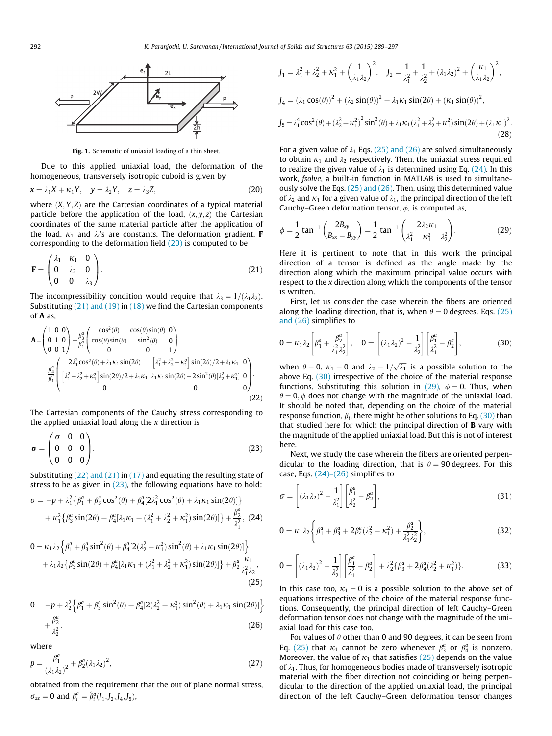<span id="page-3-0"></span>

Fig. 1. Schematic of uniaxial loading of a thin sheet.

Due to this applied uniaxial load, the deformation of the homogeneous, transversely isotropic cuboid is given by

$$
x = \lambda_1 X + \kappa_1 Y, \quad y = \lambda_2 Y, \quad z = \lambda_3 Z,
$$
 (20)

where  $(X, Y, Z)$  are the Cartesian coordinates of a typical material particle before the application of the load,  $(x, y, z)$  the Cartesian coordinates of the same material particle after the application of the load,  $\kappa_1$  and  $\lambda_i$ 's are constants. The deformation gradient, **F** corresponding to the deformation field (20) is computed to be

$$
\mathbf{F} = \begin{pmatrix} \lambda_1 & \kappa_1 & 0 \\ 0 & \lambda_2 & 0 \\ 0 & 0 & \lambda_3 \end{pmatrix} .
$$
 (21)

The incompressibility condition would require that  $\lambda_3 = 1/(\lambda_1 \lambda_2)$ . Substituting (21) and (19) in [\(18\)](#page-2-0) we find the Cartesian components of A as,

$$
\mathbf{A} = \begin{pmatrix} 1 & 0 & 0 \\ 0 & 1 & 0 \\ 0 & 0 & 1 \end{pmatrix} + \frac{\beta_3^2}{\beta_1^2} \begin{pmatrix} \cos(\theta) & \cos(\theta)\sin(\theta) & 0 \\ \cos(\theta)\sin(\theta) & \sin^2(\theta) & 0 \\ 0 & 0 & 1 \end{pmatrix}
$$
  
+ 
$$
\frac{\beta_4^2}{\beta_1^2} \begin{pmatrix} 2\lambda_1^2\cos^2(\theta) + \lambda_1\kappa_1\sin(2\theta) & \left[\lambda_1^2 + \lambda_2^2 + \kappa_1^2\right]\sin(2\theta)/2 + \lambda_1\kappa_1 & 0 \\ \left[\lambda_1^2 + \lambda_2^2 + \kappa_1^2\right]\sin(2\theta)/2 + \lambda_1\kappa_1 & \lambda_1\kappa_1\sin(2\theta) + 2\sin^2(\theta)\left[\lambda_2^2 + \kappa_1^2\right] & 0 \\ 0 & 0 & 0 \end{pmatrix}.
$$
(22)

The Cartesian components of the Cauchy stress corresponding to the applied uniaxial load along the  $x$  direction is

$$
\boldsymbol{\sigma} = \begin{pmatrix} \sigma & 0 & 0 \\ 0 & 0 & 0 \\ 0 & 0 & 0 \end{pmatrix} . \tag{23}
$$

Substituting (22) and (21) in [\(17\)](#page-2-0) and equating the resulting state of stress to be as given in  $(23)$ , the following equations have to hold:

$$
\sigma = -p + \lambda_1^2 \{ \beta_1^a + \beta_3^a \cos^2(\theta) + \beta_4^a [2\lambda_1^2 \cos^2(\theta) + \lambda_1 \kappa_1 \sin(2\theta)] \} + \kappa_1^2 \{ \beta_3^a \sin(2\theta) + \beta_4^a [\lambda_1 \kappa_1 + (\lambda_1^2 + \lambda_2^2 + \kappa_1^2) \sin(2\theta)] \} + \frac{\beta_2^a}{\lambda_1^2},
$$
 (24)

$$
0 = \kappa_1 \lambda_2 \left\{ \beta_1^a + \beta_3^a \sin^2(\theta) + \beta_4^a [2(\lambda_2^2 + \kappa_1^2) \sin^2(\theta) + \lambda_1 \kappa_1 \sin(2\theta)] \right\} + \lambda_1 \lambda_2 \left\{ \beta_3^a \sin(2\theta) + \beta_4^a [\lambda_1 \kappa_1 + (\lambda_1^2 + \lambda_2^2 + \kappa_1^2) \sin(2\theta)] \right\} + \beta_2^a \frac{\kappa_1}{\lambda_1^2 \lambda_2^2},
$$
\n(25)

$$
0 = -p + \lambda_2^2 \left\{ \beta_1^a + \beta_3^a \sin^2(\theta) + \beta_4^a [2(\lambda_2^2 + \kappa_1^2) \sin^2(\theta) + \lambda_1 \kappa_1 \sin(2\theta)] \right\} + \frac{\beta_2^a}{\lambda_2^2},
$$
\n(26)

where

$$
p = \frac{\beta_1^a}{(\lambda_1 \lambda_2)^2} + \beta_2^a (\lambda_1 \lambda_2)^2,
$$
 (27)

obtained from the requirement that the out of plane normal stress,  $\sigma_{zz} = 0$  and  $\beta_i^a = \hat{\beta}_i^a (J_1, J_2, J_4, J_5)$ ,

$$
J_1 = \lambda_1^2 + \lambda_2^2 + \kappa_1^2 + \left(\frac{1}{\lambda_1 \lambda_2}\right)^2, \quad J_2 = \frac{1}{\lambda_1^2} + \frac{1}{\lambda_2^2} + (\lambda_1 \lambda_2)^2 + \left(\frac{\kappa_1}{\lambda_1 \lambda_2}\right)^2,
$$
  

$$
J_4 = (\lambda_1 \cos(\theta))^2 + (\lambda_2 \sin(\theta))^2 + \lambda_1 \kappa_1 \sin(2\theta) + (\kappa_1 \sin(\theta))^2,
$$

$$
J_5 = \lambda_1^4 \cos^2(\theta) + (\lambda_2^2 + \kappa_1^2)^2 \sin^2(\theta) + \lambda_1 \kappa_1 (\lambda_1^2 + \lambda_2^2 + \kappa_1^2) \sin(2\theta) + (\lambda_1 \kappa_1)^2.
$$
\n(28)

For a given value of  $\lambda_1$  Eqs. (25) and (26) are solved simultaneously to obtain  $\kappa_1$  and  $\lambda_2$  respectively. Then, the uniaxial stress required to realize the given value of  $\lambda_1$  is determined using Eq. (24). In this work, fsolve, a built-in function in MATLAB is used to simultaneously solve the Eqs. (25) and (26). Then, using this determined value of  $\lambda_2$  and  $\kappa_1$  for a given value of  $\lambda_1$ , the principal direction of the left Cauchy–Green deformation tensor,  $\phi$ , is computed as,

$$
\phi = \frac{1}{2} \tan^{-1} \left( \frac{2B_{xy}}{B_{xx} - B_{yy}} \right) = \frac{1}{2} \tan^{-1} \left( \frac{2\lambda_2 \kappa_1}{\lambda_1^2 + \kappa_1^2 - \lambda_2^2} \right).
$$
 (29)

Here it is pertinent to note that in this work the principal direction of a tensor is defined as the angle made by the direction along which the maximum principal value occurs with respect to the x direction along which the components of the tensor is written.

First, let us consider the case wherein the fibers are oriented along the loading direction, that is, when  $\theta = 0$  degrees. Eqs. (25) and (26) simplifies to

$$
0 = \kappa_1 \lambda_2 \left[ \beta_1^a + \frac{\beta_2^a}{\lambda_1^2 \lambda_2^2} \right], \quad 0 = \left[ (\lambda_1 \lambda_2)^2 - \frac{1}{\lambda_2^2} \right] \left[ \frac{\beta_1^a}{\lambda_1^2} - \beta_2^a \right],
$$
 (30)

when  $\theta = 0$ .  $\kappa_1 = 0$  and  $\lambda_2 = 1/\sqrt{\lambda_1}$  is a possible solution to the above Eq. (30) irrespective of the choice of the material response functions. Substituting this solution in (29),  $\phi = 0$ . Thus, when  $\theta = 0, \phi$  does not change with the magnitude of the uniaxial load. It should be noted that, depending on the choice of the material response function,  $\beta_i$ , there might be other solutions to Eq. (30) than that studied here for which the principal direction of B vary with the magnitude of the applied uniaxial load. But this is not of interest here.

Next, we study the case wherein the fibers are oriented perpendicular to the loading direction, that is  $\theta = 90$  degrees. For this case, Eqs.  $(24)-(26)$  simplifies to

$$
\sigma = \left[ (\lambda_1 \lambda_2)^2 - \frac{1}{\lambda_1^2} \right] \left[ \frac{\beta_1^a}{\lambda_2^2} - \beta_2^a \right],\tag{31}
$$

$$
0 = \kappa_1 \lambda_2 \left\{ \beta_1^a + \beta_3^a + 2\beta_4^a (\lambda_2^2 + \kappa_1^2) + \frac{\beta_2^a}{\lambda_1^2 \lambda_2^2} \right\},
$$
 (32)

$$
0 = \left[ (\lambda_1 \lambda_2)^2 - \frac{1}{\lambda_2^2} \right] \left[ \frac{\beta_1^a}{\lambda_1^2} - \beta_2^a \right] + \lambda_2^2 \{ \beta_3^a + 2\beta_4^a (\lambda_2^2 + \kappa_1^2) \}.
$$
 (33)

In this case too,  $\kappa_1 = 0$  is a possible solution to the above set of equations irrespective of the choice of the material response functions. Consequently, the principal direction of left Cauchy–Green deformation tensor does not change with the magnitude of the uniaxial load for this case too.

For values of  $\theta$  other than 0 and 90 degrees, it can be seen from Eq. (25) that  $\kappa_1$  cannot be zero whenever  $\beta_3^a$  or  $\beta_4^a$  is nonzero. Moreover, the value of  $\kappa_1$  that satisfies (25) depends on the value of  $\lambda_1$ . Thus, for homogeneous bodies made of transversely isotropic material with the fiber direction not coinciding or being perpendicular to the direction of the applied uniaxial load, the principal direction of the left Cauchy–Green deformation tensor changes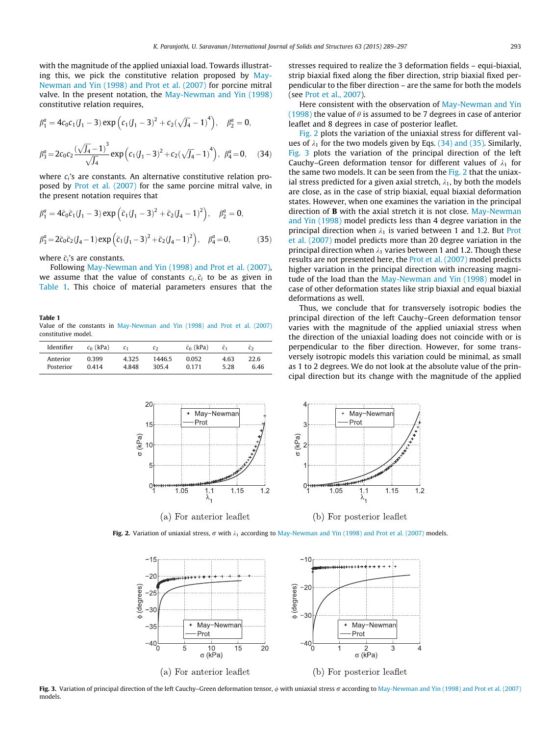with the magnitude of the applied uniaxial load. Towards illustrating this, we pick the constitutive relation proposed by [May-](#page-8-0)[Newman and Yin \(1998\) and Prot et al. \(2007\)](#page-8-0) for porcine mitral valve. In the present notation, the [May-Newman and Yin \(1998\)](#page-8-0) constitutive relation requires,

$$
\beta_1^a = 4c_0c_1(J_1 - 3) \exp\left(c_1(J_1 - 3)^2 + c_2(\sqrt{J_4} - 1)^4\right), \quad \beta_2^a = 0,
$$
  

$$
\beta_3^a = 2c_0c_2 \frac{(\sqrt{J_4} - 1)^3}{\sqrt{J_4}} \exp\left(c_1(J_1 - 3)^2 + c_2(\sqrt{J_4} - 1)^4\right), \quad \beta_4^a = 0, \quad (34)
$$

where  $c_i$ 's are constants. An alternative constitutive relation proposed by [Prot et al. \(2007\)](#page-8-0) for the same porcine mitral valve, in the present notation requires that

$$
\beta_1^a = 4\bar{c}_0 \bar{c}_1 (J_1 - 3) \exp \left(\bar{c}_1 (J_1 - 3)^2 + \bar{c}_2 (J_4 - 1)^2\right), \quad \beta_2^a = 0,
$$
  

$$
\beta_3^a = 2\bar{c}_0 \bar{c}_2 (J_4 - 1) \exp \left(\bar{c}_1 (J_1 - 3)^2 + \bar{c}_2 (J_4 - 1)^2\right), \quad \beta_4^a = 0,
$$
 (35)

where  $\bar{c}_i$ 's are constants.

Following [May-Newman and Yin \(1998\) and Prot et al. \(2007\),](#page-8-0) we assume that the value of constants  $c_i, \bar{c}_i$  to be as given in Table 1. This choice of material parameters ensures that the

Table 1 Value of the constants in [May-Newman and Yin \(1998\) and Prot et al. \(2007\)](#page-8-0) constitutive model.

| Identifier | $c_0$ (kPa) | C <sub>1</sub> | C <sub>2</sub> | $\bar{c}_0$ (kPa) | $\overline{C}$ | $\bar{c}$ |
|------------|-------------|----------------|----------------|-------------------|----------------|-----------|
| Anterior   | 0.399       | 4.325          | 1446.5         | 0.052             | 4.63           | 22.6      |
| Posterior  | 0414        | 4.848          | 305.4          | 0171              | 5.28           | 6.46      |

stresses required to realize the 3 deformation fields – equi-biaxial, strip biaxial fixed along the fiber direction, strip biaxial fixed perpendicular to the fiber direction – are the same for both the models (see [Prot et al., 2007\)](#page-8-0).

Here consistent with the observation of [May-Newman and Yin](#page-8-0) [\(1998\)](#page-8-0) the value of  $\theta$  is assumed to be 7 degrees in case of anterior leaflet and 8 degrees in case of posterior leaflet.

Fig. 2 plots the variation of the uniaxial stress for different values of  $\lambda_1$  for the two models given by Eqs. (34) and (35). Similarly, Fig. 3 plots the variation of the principal direction of the left Cauchy–Green deformation tensor for different values of  $\lambda_1$  for the same two models. It can be seen from the Fig. 2 that the uniaxial stress predicted for a given axial stretch,  $\lambda_1$ , by both the models are close, as in the case of strip biaxial, equal biaxial deformation states. However, when one examines the variation in the principal direction of B with the axial stretch it is not close. [May-Newman](#page-8-0) [and Yin \(1998\)](#page-8-0) model predicts less than 4 degree variation in the principal direction when  $\lambda_1$  is varied between 1 and 1.2. But [Prot](#page-8-0) [et al. \(2007\)](#page-8-0) model predicts more than 20 degree variation in the principal direction when  $\lambda_1$  varies between 1 and 1.2. Though these results are not presented here, the [Prot et al. \(2007\)](#page-8-0) model predicts higher variation in the principal direction with increasing magnitude of the load than the [May-Newman and Yin \(1998\)](#page-8-0) model in case of other deformation states like strip biaxial and equal biaxial deformations as well.

Thus, we conclude that for transversely isotropic bodies the principal direction of the left Cauchy–Green deformation tensor varies with the magnitude of the applied uniaxial stress when the direction of the uniaxial loading does not coincide with or is perpendicular to the fiber direction. However, for some transversely isotropic models this variation could be minimal, as small as 1 to 2 degrees. We do not look at the absolute value of the principal direction but its change with the magnitude of the applied



Fig. 2. Variation of uniaxial stress,  $\sigma$  with  $\lambda_1$  according to [May-Newman and Yin \(1998\) and Prot et al. \(2007\)](#page-8-0) models.



Fig. 3. Variation of principal direction of the left Cauchy–Green deformation tensor,  $\phi$  with uniaxial stress  $\sigma$  according to [May-Newman and Yin \(1998\) and Prot et al. \(2007\)](#page-8-0) models.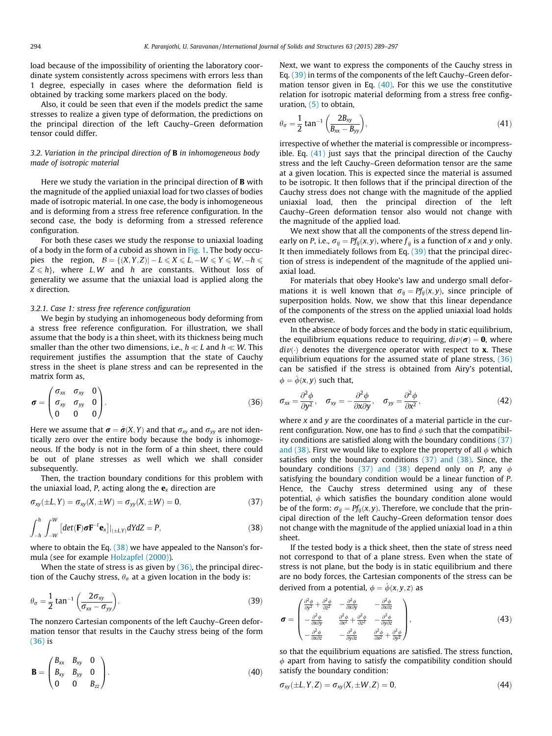<span id="page-5-0"></span>load because of the impossibility of orienting the laboratory coordinate system consistently across specimens with errors less than 1 degree, especially in cases where the deformation field is obtained by tracking some markers placed on the body.

Also, it could be seen that even if the models predict the same stresses to realize a given type of deformation, the predictions on the principal direction of the left Cauchy–Green deformation tensor could differ.

#### 3.2. Variation in the principal direction of  $\bf{B}$  in inhomogeneous body made of isotropic material

Here we study the variation in the principal direction of B with the magnitude of the applied uniaxial load for two classes of bodies made of isotropic material. In one case, the body is inhomogeneous and is deforming from a stress free reference configuration. In the second case, the body is deforming from a stressed reference configuration.

For both these cases we study the response to uniaxial loading of a body in the form of a cuboid as shown in  $Fig. 1$ . The body occupies the region,  $B = \{(X, Y, Z) | -L \leq X \leq L, -W \leq Y \leq W, -h \leq \}$  $Z \leq h$ , where L, W and h are constants. Without loss of generality we assume that the uniaxial load is applied along the x direction.

#### 3.2.1. Case 1: stress free reference configuration

We begin by studying an inhomogeneous body deforming from a stress free reference configuration. For illustration, we shall assume that the body is a thin sheet, with its thickness being much smaller than the other two dimensions, i.e.,  $h \ll L$  and  $h \ll W$ . This requirement justifies the assumption that the state of Cauchy stress in the sheet is plane stress and can be represented in the matrix form as,

$$
\boldsymbol{\sigma} = \begin{pmatrix} \sigma_{xx} & \sigma_{xy} & 0 \\ \sigma_{xy} & \sigma_{yy} & 0 \\ 0 & 0 & 0 \end{pmatrix} . \tag{36}
$$

Here we assume that  $\sigma = \hat{\sigma}(X, Y)$  and that  $\sigma_{xy}$  and  $\sigma_{yy}$  are not identically zero over the entire body because the body is inhomogeneous. If the body is not in the form of a thin sheet, there could be out of plane stresses as well which we shall consider subsequently.

Then, the traction boundary conditions for this problem with the uniaxial load, P, acting along the  $e_x$  direction are

$$
\sigma_{xy}(\pm L, Y) = \sigma_{xy}(X, \pm W) = \sigma_{yy}(X, \pm W) = 0, \qquad (37)
$$

$$
\int_{-h}^{h} \int_{-W}^{W} \left[ \det(\mathbf{F}) \boldsymbol{\sigma} \mathbf{F}^{-t} \mathbf{e}_{x} \right] \big|_{(\pm L,Y)} dY dZ = P, \tag{38}
$$

where to obtain the Eq.  $(38)$  we have appealed to the Nanson's formula (see for example [Holzapfel \(2000\)](#page-8-0)).

When the state of stress is as given by  $(36)$ , the principal direction of the Cauchy stress,  $\theta_{\sigma}$  at a given location in the body is:

$$
\theta_{\sigma} = \frac{1}{2} \tan^{-1} \left( \frac{2\sigma_{xy}}{\sigma_{xx} - \sigma_{yy}} \right).
$$
 (39)

The nonzero Cartesian components of the left Cauchy–Green deformation tensor that results in the Cauchy stress being of the form (36) is

$$
\mathbf{B} = \begin{pmatrix} B_{xx} & B_{xy} & 0 \\ B_{xy} & B_{yy} & 0 \\ 0 & 0 & B_{zz} \end{pmatrix} .
$$
 (40)

Next, we want to express the components of the Cauchy stress in Eq. (39) in terms of the components of the left Cauchy–Green deformation tensor given in Eq.  $(40)$ . For this we use the constitutive relation for isotropic material deforming from a stress free configuration, [\(5\)](#page-2-0) to obtain,

$$
\theta_{\sigma} = \frac{1}{2} \tan^{-1} \left( \frac{2B_{xy}}{B_{xx} - B_{yy}} \right),\tag{41}
$$

irrespective of whether the material is compressible or incompressible. Eq. (41) just says that the principal direction of the Cauchy stress and the left Cauchy–Green deformation tensor are the same at a given location. This is expected since the material is assumed to be isotropic. It then follows that if the principal direction of the Cauchy stress does not change with the magnitude of the applied uniaxial load, then the principal direction of the left Cauchy–Green deformation tensor also would not change with the magnitude of the applied load.

We next show that all the components of the stress depend linearly on *P*, i.e.,  $\sigma_{ij} = Pf_{ij}(x, y)$ , where  $f_{ij}$  is a function of x and y only. It then immediately follows from Eq. (39) that the principal direction of stress is independent of the magnitude of the applied uniaxial load.

For materials that obey Hooke's law and undergo small deformations it is well known that  $\sigma_{ij} = Pf_{ij}(x, y)$ , since principle of superposition holds. Now, we show that this linear dependance of the components of the stress on the applied uniaxial load holds even otherwise.

In the absence of body forces and the body in static equilibrium, the equilibrium equations reduce to requiring,  $div(\sigma) = 0$ , where  $div(\cdot)$  denotes the divergence operator with respect to x. These equilibrium equations for the assumed state of plane stress,  $(36)$ can be satisfied if the stress is obtained from Airy's potential,  $\phi = \hat{\phi}(x, y)$  such that,

$$
\sigma_{xx} = \frac{\partial^2 \phi}{\partial y^2}, \quad \sigma_{xy} = -\frac{\partial^2 \phi}{\partial x \partial y}, \quad \sigma_{yy} = \frac{\partial^2 \phi}{\partial x^2}, \tag{42}
$$

where  $x$  and  $y$  are the coordinates of a material particle in the current configuration. Now, one has to find  $\phi$  such that the compatibility conditions are satisfied along with the boundary conditions (37) and (38). First we would like to explore the property of all  $\phi$  which satisfies only the boundary conditions  $(37)$  and  $(38)$ . Since, the boundary conditions (37) and (38) depend only on P, any  $\phi$ satisfying the boundary condition would be a linear function of P. Hence, the Cauchy stress determined using any of these potential,  $\phi$  which satisfies the boundary condition alone would be of the form:  $\sigma_{ij} = Pf_{ij}(x, y)$ . Therefore, we conclude that the principal direction of the left Cauchy–Green deformation tensor does not change with the magnitude of the applied uniaxial load in a thin sheet.

If the tested body is a thick sheet, then the state of stress need not correspond to that of a plane stress. Even when the state of stress is not plane, but the body is in static equilibrium and there are no body forces, the Cartesian components of the stress can be derived from a potential,  $\phi = \hat{\phi}(x, y, z)$  as

$$
\boldsymbol{\sigma} = \begin{pmatrix} \frac{\partial^2 \phi}{\partial y^2} + \frac{\partial^2 \phi}{\partial z^2} & -\frac{\partial^2 \phi}{\partial x \partial y} & -\frac{\partial^2 \phi}{\partial x \partial z} \\ -\frac{\partial^2 \phi}{\partial x \partial y} & \frac{\partial^2 \phi}{\partial x^2} + \frac{\partial^2 \phi}{\partial z^2} & -\frac{\partial^2 \phi}{\partial y \partial z} \\ -\frac{\partial^2 \phi}{\partial x \partial z} & -\frac{\partial^2 \phi}{\partial y \partial z} & \frac{\partial^2 \phi}{\partial x^2} + \frac{\partial^2 \phi}{\partial y^2} \end{pmatrix},
$$
(43)

so that the equilibrium equations are satisfied. The stress function,  $\phi$  apart from having to satisfy the compatibility condition should satisfy the boundary condition:

$$
\sigma_{xy}(\pm L, Y, Z) = \sigma_{xy}(X, \pm W, Z) = 0, \qquad (44)
$$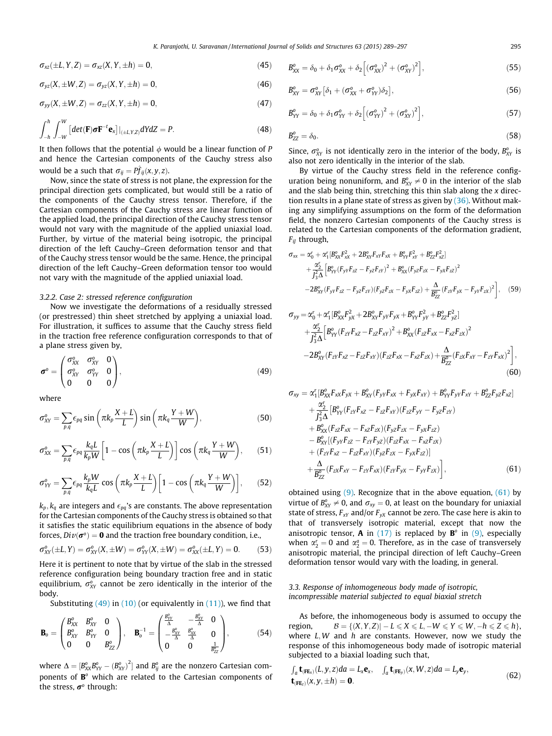<span id="page-6-0"></span>
$$
\sigma_{xz}(\pm L, Y, Z) = \sigma_{xz}(X, Y, \pm h) = 0, \qquad (45)
$$

$$
\sigma_{yz}(X,\pm W,Z)=\sigma_{yz}(X,Y,\pm h)=0,\qquad(46)
$$

$$
\sigma_{yy}(X,\pm W,Z)=\sigma_{zz}(X,Y,\pm h)=0,\qquad \qquad (47)
$$

$$
\int_{-h}^{h} \int_{-W}^{W} \left[ \det(\mathbf{F}) \boldsymbol{\sigma} \mathbf{F}^{-t} \mathbf{e}_{x} \right] \big|_{(\pm L, Y, Z)} dY dZ = P. \tag{48}
$$

It then follows that the potential  $\phi$  would be a linear function of P and hence the Cartesian components of the Cauchy stress also would be a such that  $\sigma_{ij} = P\hat{f}_{ij}(x, y, z)$ .

Now, since the state of stress is not plane, the expression for the principal direction gets complicated, but would still be a ratio of the components of the Cauchy stress tensor. Therefore, if the Cartesian components of the Cauchy stress are linear function of the applied load, the principal direction of the Cauchy stress tensor would not vary with the magnitude of the applied uniaxial load. Further, by virtue of the material being isotropic, the principal direction of the left Cauchy–Green deformation tensor and that of the Cauchy stress tensor would be the same. Hence, the principal direction of the left Cauchy–Green deformation tensor too would not vary with the magnitude of the applied uniaxial load.

#### 3.2.2. Case 2: stressed reference configuration

Now we investigate the deformations of a residually stressed (or prestressed) thin sheet stretched by applying a uniaxial load. For illustration, it suffices to assume that the Cauchy stress field in the traction free reference configuration corresponds to that of a plane stress given by,

$$
\boldsymbol{\sigma}^{\text{o}} = \begin{pmatrix} \sigma_{XX}^{\text{o}} & \sigma_{XY}^{\text{o}} & 0 \\ \sigma_{XY}^{\text{o}} & \sigma_{YY}^{\text{o}} & 0 \\ 0 & 0 & 0 \end{pmatrix}, \tag{49}
$$

where

$$
\sigma_{XY}^o = \sum_{p,q} \epsilon_{pq} \sin\left(\pi k_p \frac{X+L}{L}\right) \sin\left(\pi k_q \frac{Y+W}{W}\right),\tag{50}
$$

$$
\sigma_{XX}^o = \sum_{p,q} \epsilon_{pq} \frac{k_q L}{k_p W} \left[ 1 - \cos \left( \pi k_p \frac{X+L}{L} \right) \right] \cos \left( \pi k_q \frac{Y+W}{W} \right), \quad (51)
$$

$$
\sigma_{YY}^o = \sum_{p,q} \epsilon_{pq} \frac{k_p W}{k_q L} \cos\left(\pi k_p \frac{X+L}{L}\right) \left[1 - \cos\left(\pi k_q \frac{Y+W}{W}\right)\right],\tag{52}
$$

 $k_p, k_q$  are integers and  $\epsilon_{pq}$ 's are constants. The above representation for the Cartesian components of the Cauchy stress is obtained so that it satisfies the static equilibrium equations in the absence of body forces,  $Div(\sigma^0) = \mathbf{0}$  and the traction free boundary condition, i.e.,

$$
\sigma_{XY}^o(\pm L, Y) = \sigma_{XY}^o(X, \pm W) = \sigma_{YY}^o(X, \pm W) = \sigma_{XX}^o(\pm L, Y) = 0.
$$
 (53)

Here it is pertinent to note that by virtue of the slab in the stressed reference configuration being boundary traction free and in static equilibrium,  $\sigma_{XY}^{\text{o}}$  cannot be zero identically in the interior of the body.

Substituting  $(49)$  in  $(10)$  (or equivalently in  $(11)$ ), we find that

$$
\boldsymbol{B}_{o} = \begin{pmatrix} B_{XX}^{o} & B_{XY}^{o} & 0 \\ B_{XY}^{o} & B_{YY}^{o} & 0 \\ 0 & 0 & B_{ZZ}^{o} \end{pmatrix}, \quad \boldsymbol{B}_{o}^{-1} = \begin{pmatrix} \frac{B_{YY}^{o}}{\Delta} & -\frac{B_{XY}^{o}}{\Delta} & 0 \\ -\frac{B_{XY}^{o}}{\Delta} & \frac{B_{XX}^{o}}{\Delta} & 0 \\ 0 & 0 & \frac{1}{B_{ZZ}^{o}} \end{pmatrix}, \tag{54}
$$

where  $\Delta = [B_{XX}^o B_{YY}^o - {(B_{XY}^o)}^2]$  and  $B_{ij}^o$  are the nonzero Cartesian components of  $B^{\circ}$  which are related to the Cartesian components of the stress,  $\sigma^{\circ}$  through:

$$
B_{XX}^o = \delta_0 + \delta_1 \sigma_{XX}^o + \delta_2 \Big[ \left( \sigma_{XX}^o \right)^2 + \left( \sigma_{XY}^o \right)^2 \Big], \tag{55}
$$

$$
B_{XY}^o = \sigma_{XY}^o \big[ \delta_1 + (\sigma_{XX}^o + \sigma_{YY}^o) \delta_2 \big], \tag{56}
$$

$$
B_{YY}^0 = \delta_0 + \delta_1 \sigma_{YY}^0 + \delta_2 \Big[ (\sigma_{YY}^0)^2 + (\sigma_{XY}^0)^2 \Big],
$$
 (57)

$$
B_{ZZ}^o = \delta_0. \tag{58}
$$

Since,  $\sigma_{XY}^o$  is not identically zero in the interior of the body,  $B_{XY}^o$  is also not zero identically in the interior of the slab.

By virtue of the Cauchy stress field in the reference configuration being nonuniform, and  $B_{XY}^{\circ} \neq 0$  in the interior of the slab and the slab being thin, stretching this thin slab along the  $x$  direction results in a plane state of stress as given by  $(36)$ . Without making any simplifying assumptions on the form of the deformation field, the nonzero Cartesian components of the Cauchy stress is related to the Cartesian components of the deformation gradient,  $F_{ij}$  through,

$$
\sigma_{xx} = \alpha_0^r + \alpha_1^r [B_{XX}^p F_{xx}^2 + 2B_{XY}^p F_{XY} F_{xx} + B_{YY}^p F_{xy}^2 + B_{ZZ}^p F_{xz}^2] \n+ \frac{\alpha_2^r}{\int_3^2 \Delta} \Big[ B_{YY}^o (F_{YY} F_{zz} - F_{YZ} F_{zy})^2 + B_{XX}^o (F_{YZ} F_{zx} - F_{yx} F_{zz})^2 \n- 2B_{XY}^o (F_{YY} F_{zz} - F_{YZ} F_{zy}) (F_{YZ} F_{zx} - F_{yx} F_{zz}) + \frac{\Delta}{B_{ZZ}^o} (F_{zy} F_{yx} - F_{yy} F_{zx})^2 \Big],
$$
\n(59)

$$
\sigma_{yy} = \alpha_0^r + \alpha_1^r [B_{XX}^o F_{yx}^2 + 2B_{XY}^o F_{yy} F_{yx} + B_{YY}^o F_{yy}^2 + B_{ZZ}^o F_{yz}^2] \n+ \frac{\alpha_2^r}{J_3^2 \Delta} \Big[ B_{YY}^o (F_{zy} F_{xz} - F_{zz} F_{xy})^2 + B_{XX}^o (F_{zz} F_{xx} - F_{xz} F_{zx})^2 \n- 2B_{XY}^o (F_{zy} F_{xz} - F_{zz} F_{xy}) (F_{zz} F_{xx} - F_{xz} F_{zx}) + \frac{\Delta}{B_{ZZ}^o} (F_{zx} F_{xy} - F_{zy} F_{xx})^2 \Big],
$$
\n(60)

$$
\sigma_{xy} = \alpha_1^r [B_{XX}^{\circ} F_{xx} F_{yx} + B_{XY}^{\circ} (F_{yy} F_{xx} + F_{yx} F_{xy}) + B_{YY}^{\circ} F_{yy} F_{xy} + B_{ZZ}^{\circ} F_{yz} F_{xz}] \n+ \frac{\alpha_2^r}{J_3^2 \Delta} [B_{YY}^{\circ} (F_{zy} F_{xz} - F_{zz} F_{xy}) (F_{zz} F_{yy} - F_{yz} F_{zy}) \n+ B_{XX}^{\circ} (F_{zz} F_{xx} - F_{xz} F_{zx}) (F_{yz} F_{zx} - F_{yx} F_{zz}) \n- B_{XY}^{\circ} [(F_{yy} F_{zz} - F_{zy} F_{yz}) (F_{zz} F_{xx} - F_{xz} F_{zx}) \n+ (F_{zy} F_{xz} - F_{zz} F_{xy}) (F_{yz} F_{zx} - F_{yx} F_{zz})] \n+ \frac{\Delta}{B_{ZZ}^{\circ}} (F_{zx} F_{xy} - F_{zy} F_{xx}) (F_{zy} F_{yx} - F_{yy} F_{zx})],
$$
\n(61)

obtained using  $(9)$ . Recognize that in the above equation,  $(61)$  by virtue of  $B_{XY}^o \neq 0$ , and  $\sigma_{xy} = 0$ , at least on the boundary for uniaxial state of stress,  $F_{XY}$  and/or  $F_{YX}$  cannot be zero. The case here is akin to that of transversely isotropic material, except that now the anisotropic tensor, **A** in [\(17\)](#page-2-0) is replaced by  $\mathbf{B}^{\circ}$  in [\(9\)](#page-2-0), especially when  $\alpha_2^r = 0$  and  $\alpha_2^a = 0$ . Therefore, as in the case of transversely anisotropic material, the principal direction of left Cauchy–Green deformation tensor would vary with the loading, in general.

#### 3.3. Response of inhomogeneous body made of isotropic, incompressible material subjected to equal biaxial stretch

As before, the inhomogeneous body is assumed to occupy the region,  $B = \{(X, Y, Z) | -L \leq X \leq L, -W \leq Y \leq W, -h \leq Z \leq h\}$ where  $L, W$  and  $h$  are constants. However, now we study the response of this inhomogeneous body made of isotropic material subjected to a biaxial loading such that,

$$
\begin{aligned}\n\int_{a} \mathbf{t}_{(\mathbf{FE}_{x})}(L, y, z) da &= L_{x} \mathbf{e}_{x}, \quad \int_{a} \mathbf{t}_{(\mathbf{FE}_{y})}(x, W, z) da = L_{y} \mathbf{e}_{y}, \\
\mathbf{t}_{(\mathbf{FE}_{z})}(x, y, \pm h) &= \mathbf{0}.\n\end{aligned} \tag{62}
$$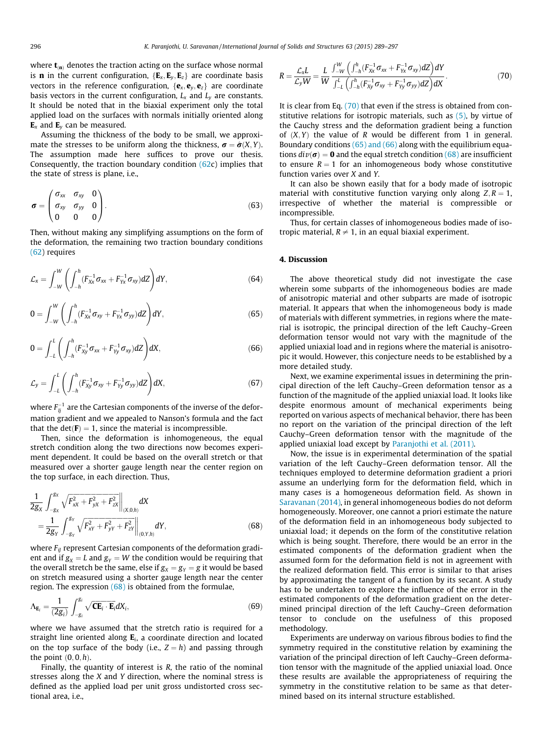where  $t_{(n)}$  denotes the traction acting on the surface whose normal is **n** in the current configuration,  $\{E_x, E_y, E_z\}$  are coordinate basis vectors in the reference configuration,  $\{e_x, e_y, e_z\}$  are coordinate basis vectors in the current configuration,  $L<sub>x</sub>$  and  $L<sub>y</sub>$  are constants. It should be noted that in the biaxial experiment only the total applied load on the surfaces with normals initially oriented along  $\mathbf{E}_x$  and  $\mathbf{E}_y$  can be measured.

Assuming the thickness of the body to be small, we approximate the stresses to be uniform along the thickness,  $\sigma = \hat{\sigma}(X, Y)$ . The assumption made here suffices to prove our thesis. Consequently, the traction boundary condition  $(62c)$  $(62c)$  implies that the state of stress is plane, i.e.,

$$
\boldsymbol{\sigma} = \begin{pmatrix} \sigma_{xx} & \sigma_{xy} & 0 \\ \sigma_{xy} & \sigma_{yy} & 0 \\ 0 & 0 & 0 \end{pmatrix} . \tag{63}
$$

Then, without making any simplifying assumptions on the form of the deformation, the remaining two traction boundary conditions [\(62](#page-6-0)) requires

$$
\mathcal{L}_x = \int_{-W}^W \left( \int_{-h}^h (F_{xx}^{-1} \sigma_{xx} + F_{yx}^{-1} \sigma_{xy}) dZ \right) dY, \tag{64}
$$

$$
0 = \int_{-W}^{W} \left( \int_{-h}^{h} (F_{XX}^{-1} \sigma_{xy} + F_{YX}^{-1} \sigma_{yy}) dZ \right) dY, \tag{65}
$$

$$
0 = \int_{-L}^{L} \left( \int_{-h}^{h} (F_{xy}^{-1} \sigma_{xx} + F_{yy}^{-1} \sigma_{xy}) dZ \right) dX, \tag{66}
$$

$$
\mathcal{L}_y = \int_{-L}^{L} \left( \int_{-h}^{h} (F_{xy}^{-1} \sigma_{xy} + F_{yy}^{-1} \sigma_{yy}) dZ \right) dX, \tag{67}
$$

where  $F_{ij}^{-1}$  are the Cartesian components of the inverse of the deformation gradient and we appealed to Nanson's formula and the fact that the det $(F) = 1$ , since the material is incompressible.

Then, since the deformation is inhomogeneous, the equal stretch condition along the two directions now becomes experiment dependent. It could be based on the overall stretch or that measured over a shorter gauge length near the center region on the top surface, in each direction. Thus,

$$
\frac{1}{2g_X} \int_{-g_X}^{g_X} \sqrt{F_{xx}^2 + F_{yx}^2 + F_{zx}^2} \Big\|_{(X,0,h)} dX
$$
  
= 
$$
\frac{1}{2g_Y} \int_{-g_Y}^{g_Y} \sqrt{F_{xy}^2 + F_{yy}^2 + F_{zy}^2} \Big\|_{(0,Y,h)} dY,
$$
 (68)

where  $F_{ij}$  represent Cartesian components of the deformation gradient and if  $g_X = L$  and  $g_Y = W$  the condition would be requiring that the overall stretch be the same, else if  $g_X = g_Y = g$  it would be based on stretch measured using a shorter gauge length near the center region. The expression (68) is obtained from the formulae,

$$
\Lambda_{\mathbf{E}_i} = \frac{1}{(2g_i)} \int_{-g_i}^{g_i} \sqrt{\mathbf{CE}_i \cdot \mathbf{E}_i} dX_i,
$$
\n(69)

where we have assumed that the stretch ratio is required for a straight line oriented along  $E_i$ , a coordinate direction and located on the top surface of the body (i.e.,  $Z = h$ ) and passing through the point  $(0, 0, h)$ .

Finally, the quantity of interest is  $R$ , the ratio of the nominal stresses along the X and Y direction, where the nominal stress is defined as the applied load per unit gross undistorted cross sectional area, i.e.,

$$
R = \frac{\mathcal{L}_x L}{\mathcal{L}_y W} = \frac{L}{W} \frac{\int_{-W}^{W} (\int_{-h}^{h} (F_{Xx}^{-1} \sigma_{xx} + F_{Yx}^{-1} \sigma_{xy}) dZ) dY}{\int_{-L}^{L} (\int_{-h}^{h} (F_{Xy}^{-1} \sigma_{xy} + F_{Yy}^{-1} \sigma_{yy}) dZ) dX}.
$$
(70)

It is clear from Eq. (70) that even if the stress is obtained from constitutive relations for isotropic materials, such as [\(5\),](#page-2-0) by virtue of the Cauchy stress and the deformation gradient being a function of  $(X, Y)$  the value of R would be different from 1 in general. Boundary conditions  $(65)$  and  $(66)$  along with the equilibrium equations  $div(\sigma) = \mathbf{0}$  and the equal stretch condition (68) are insufficient to ensure  $R = 1$  for an inhomogeneous body whose constitutive function varies over X and Y.

It can also be shown easily that for a body made of isotropic material with constitutive function varying only along  $Z, R = 1$ , irrespective of whether the material is compressible or incompressible.

Thus, for certain classes of inhomogeneous bodies made of isotropic material,  $R \neq 1$ , in an equal biaxial experiment.

#### 4. Discussion

The above theoretical study did not investigate the case wherein some subparts of the inhomogeneous bodies are made of anisotropic material and other subparts are made of isotropic material. It appears that when the inhomogeneous body is made of materials with different symmetries, in regions where the material is isotropic, the principal direction of the left Cauchy–Green deformation tensor would not vary with the magnitude of the applied uniaxial load and in regions where the material is anisotropic it would. However, this conjecture needs to be established by a more detailed study.

Next, we examine experimental issues in determining the principal direction of the left Cauchy–Green deformation tensor as a function of the magnitude of the applied uniaxial load. It looks like despite enormous amount of mechanical experiments being reported on various aspects of mechanical behavior, there has been no report on the variation of the principal direction of the left Cauchy–Green deformation tensor with the magnitude of the applied uniaxial load except by [Paranjothi et al. \(2011\)](#page-8-0).

Now, the issue is in experimental determination of the spatial variation of the left Cauchy–Green deformation tensor. All the techniques employed to determine deformation gradient a priori assume an underlying form for the deformation field, which in many cases is a homogeneous deformation field. As shown in [Saravanan \(2014\),](#page-8-0) in general inhomogeneous bodies do not deform homogeneously. Moreover, one cannot a priori estimate the nature of the deformation field in an inhomogeneous body subjected to uniaxial load; it depends on the form of the constitutive relation which is being sought. Therefore, there would be an error in the estimated components of the deformation gradient when the assumed form for the deformation field is not in agreement with the realized deformation field. This error is similar to that arises by approximating the tangent of a function by its secant. A study has to be undertaken to explore the influence of the error in the estimated components of the deformation gradient on the determined principal direction of the left Cauchy–Green deformation tensor to conclude on the usefulness of this proposed methodology.

Experiments are underway on various fibrous bodies to find the symmetry required in the constitutive relation by examining the variation of the principal direction of left Cauchy–Green deformation tensor with the magnitude of the applied uniaxial load. Once these results are available the appropriateness of requiring the symmetry in the constitutive relation to be same as that determined based on its internal structure established.